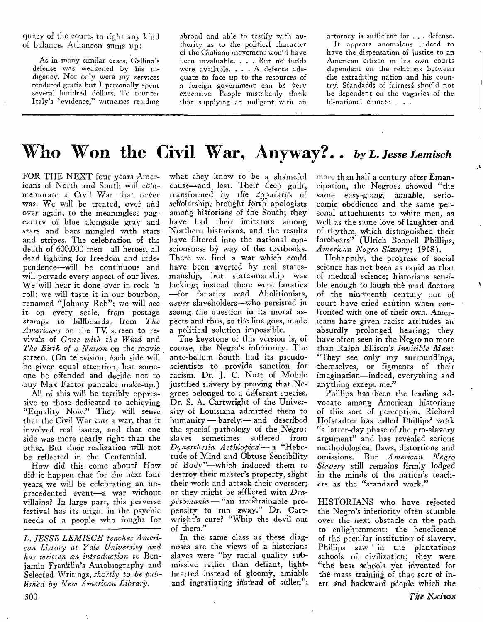quacy of the courts to right any kind of balance. Athanson sums up:

As in many similar cases, Gallina's defense was weakened by his indigency. Not only were my services rendered gratis but I personally spent several hundred dollars. To counter Italy's "evidence," witnesses residing

abroad and able to testify with authority as to the political character of the Giuliano movement would have been invaluable. . . . But no funds were available. . . . A defense adequate to face up to the resources of a foreign government can be very expensive. People mistakenly think that supplying an indigent with an attorney is sufficient for . . . defense.

It appears anomalous indeed to have the dispensation of justice to an American citizen in his own courts dependent on the relations between the extraditing nation and his country. Standards of fairness should not be dependent on the vagaries of the bi-national chmate . . .

## Who Won the Civil War, Anyway?.. by L. Jesse Lemisch

FOR THE NEXT four years Americans of North and South will commemorate a Civil War that never was. We will be treated, over and over again, to the meaningless pageantry of blue alongside gray and stars and bars mingled with stars and stripes. The celebration of the death of 600,000 men-all heroes, all dead fighting for freedom and independence-will be continuous and will pervade every aspect of our lives. We will hear it done over in rock 'n roll; we will taste it in our bourbon, renamed "Johnny Reb"; we will see it on every scale, from postage stamps to billboards, from The Americans on the TV, screen to revivals of Gone with the Wind and The Birth of a Nation on the movie screen. (On television, each side will be given equal attention, lest someone be offended and decide not to buy Max Factor pancake make-up.)

All of this will be terribly oppressive to those dedicated to achieving "Equality Now." They will sense that the Civil War was a war, that it involved real issues, and that one side was more nearly right than the other. But their realization will not be reflected in the Centennial.

How did this come about? How did it happen that for the next four years we will be celebrating an unprecedented event-a war without villains? In large part, this perverse festival has its origin in the psychic needs of a people who fought for what they know to be a shameful cause-and lost. Their deep guilt, transformed by the apparatus of scholarship, brought forth apologists among historians of the South; they have had their imitators among Northern historians, and the results have filtered into the national consciousness by way of the textbooks. There we find a war which could have been averted by real statesmanship, but statesmanship was lacking; instead there were fanatics -for fanatics read Abolitionists, never slaveholders—who persisted in seeing the question in its moral aspects and thus, so the line goes, made a political solution impossible.

The keystone of this version is, of course, the Negro's inferiority. The ante-bellum South had its pseudoscientists to provide sanction for racism. Dr. J. C. Nott of Mobile justified slavery by proving that Negroes belonged to a different species. Dr. S. A. Cartwright of the University of Louisiana admitted them to humanity - barely - and described the special pathology of the Negro: sometimes suffered from slaves Dyaesthesia Aethiopica-a "Hebetude of Mind and Obtuse Sensibility of Body"-which induced them to destroy their master's property, slight their work and attack their overseer; or they might be afflicted with Drapetomania - "an irrestrainable propensity to run away." Dr. Cartwright's cure? "Whip the devil out of them."

In the same class as these diagnoses are the views of a historian: slaves were "by racial quality submissive rather than defiant, lighthearted instead of gloomy, amiable and ingratiating instead of sullen";

more than half a century after Emancipation, the Negroes showed "the same easy-going, amiable, seriocomic obedience and the same personal attachments to white men, as well as the same love of laughter and of rhythm, which distinguished their forebears" (Ulrich Bonnell Phillips, American Negro Slavery: 1918).

Unhappily, the progress of social science has not been as rapid as that of medical science: historians sensible enough to laugh the mad doctors of the nineteenth century out of court have cried caution when confronted with one of their own. Americans have given racist attitudes an absurdly prolonged hearing; they have often seen in the Negro no more than Ralph Ellison's Invisible Man: "They see only my surroundings, themselves, or figments of their imagination-indeed, everything and anything except me."

Phillips has been the leading advocate among American historians of this sort of perception. Richard Hofstadter has called Phillips' work "a latter-day phase of the pro-slavery argument" and has revealed serious methodological flaws, distortions and omissions. But American Negro Slavery still remains firmly lodged in the minds of the nation's teachers as the "standard work."

HISTORIANS who have rejected the Negro's inferiority often stumble over the next obstacle on the path to enlightenment: the beneficence of the peculiar institution of slavery. Phillips saw in the plantations schools of civilization; they were "the best schools yet invented for the mass training of that sort of inert and backward people which the

L. JESSE LEMISCH teaches American history at Yale University and has written an introduction to Benjamin Franklin's Autobiography and Selected Writings, shortly to be published by New American Library.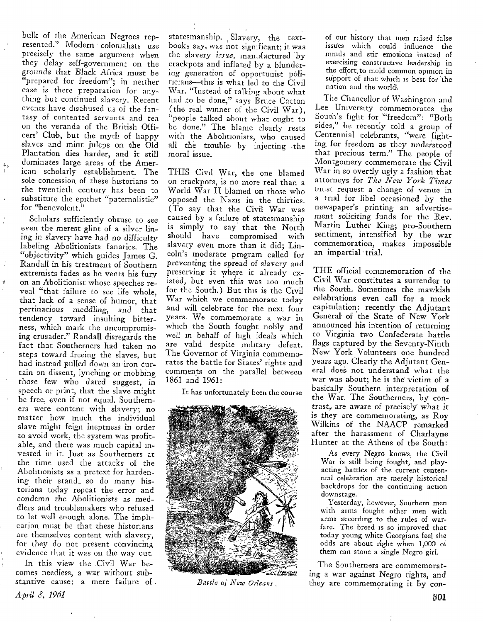bulk of the American Negroes represented." Modern colonialists use precisely the same argument when they delay self-government on the grounds that Black Africa must be "prepared for freedom"; in neither case is there preparation for anything but continued slavery. Recent events have disabused us of the fantasy of con'tented servants and ten on the veranda of the British Olficers' Club, but the myth of happy slaves and mint juleps on the Old Plantation dies harder, and it still dominates large areas of the American scholarly establishment. The sole concession of these hrstorians to the twentieth century has been to substitute the epithet "paternalistic" for "benevolent."

Scholars sufficiently obtuse to see even the merest glint of a silver lining in slavery have had no difficulty labeling Abolitionists fanatics. The "objectivity" which guides James G. Randall in his treatment of Southern extremists fades as he vents his fury on an Abolitionist whose speeches reveal "that failure to see life whole, that lack of a sense of humor, that pertinacious meddling, and that tendency toward insulting bitterness, which mark the uncompromising crusader." Randall disregards the fact that Southerners had taken no steps toward freeing the slaves, but had instead pulled down an'iron curtain on dissent, lynching or mobbing those few who dared suggest, in speech or print, that the slave might be free, even if not equal. Southerners were content with slavery; **no**  matter how much the individual slave might feign ineptness in order to avoid work, the system was profitable, and there was much capital invested in it. Just as Southerners at the time used the attacks of the Abolitionists as a pretext for hardening their stand, so do many historians today repeat the error and condemn the Abolitionists as meddlers and troublemakers who refused to let well enough alone. The impllcation must be that these historians are themselves content with slavery, for they do not present convincing evidence that it was on the way out.

In this view the .Civil War becomes needless, a war without substantive cause: a mere failure of.

statesmanship. , Slavery, the textbooks say, was not significant; it was the slavery *issue*, manufactured by crackpots and inflated by a blundering' generation af opportunist pdliticians-this is what led to the Civil War. "Instead of talking about what had to be done," says  $\tilde{B}$ ruce Catton (the real winner of the Civil War), "people talked atbout what ought to be done." The blame clearly rests with the Abolitionists, who caused all the trouble by injecting the moral issue.

THIS Civil War, the one blamed on crackpots, is no more real than a World War I1 blamed on those who opposed the Nazis in the thirties. (To say that the Civil War was caused by a failure of statesmanship is simply to say that the North should have compromised with slavery even more than it did; Lincoln's moderate program called **for**  preventing the spread **of** slavery and preserving it where it already existed, but even this was too much for the South.) But this is the Civil War which we commemorate today and will celebrate for the next four years. We commemorate a war in which the South fought nobly and well in behalf of high ideals which are valid despite military defeat. The Governor of Virginia commemorates the battle for States' rights and comments on the parallel between 1861 and 1961:

It has UnfortunateIy been the course



*Battle* of *New Orleans,* 

of our history that men raised false issu'es which could influence the minds and stir emotions instead of exercising constructive leadership in the effort to mold common opinion in support of that which is best for the nation and the world.

The Chancellor of Washington and Lee University commemorates the South's fight for "freedom": "Both sides," he recently told a group of Centennial celebrants, "were fighting for freedom as they understood that precious term." The people of Montgomery commemorate the Civil War in so overtly ugly **a** fashion that attorneys for *The New York Times*  must request **a** change of venue in **a** trial for libel occasioned by the newspaper's printing an advertisement soliciting funds for the Rev. Martin Luther King; pro-Southern sentiment, intensified by the war commemoration, makes impossible an impartial trial.

THE official commemoration of the Civil War constitutes a surrender to the South. Sometimes the mawkish celebrations even call for **a** mock capitulation: recently the Adjutant General of the State of New York announced his inrention of returning to Virginia two Confederate battle flags captured by the Seventy-Ninth New York Volunteers one hundred years ago. Clearly the Adjutant General does not understand what the war was about; he is the victim of a basically Southern interpretation of the War. The Southerners, by contrast,, are aware of precisely' what it is they are commemorating, as Roy WiIkins of the NAACP remarked after the harassment of CharIayne Hunter at the Athens **of** the South:

**As** every Negro knows, the CiviI War is still being fought, and playacting battles of the current centen*mal* celebration are merely historical backdrops for the continuing action downstage.

Yesterday, however, Southern men with arms fought other men with arms according to the rules of warfare. The breed 1s so improved that today young white Georgians feel the odds **are** about right when 1,000 oi them can stone a single Negro girl.

The Southerners are commemorating a war against Negro rights, and they are commemorating it by con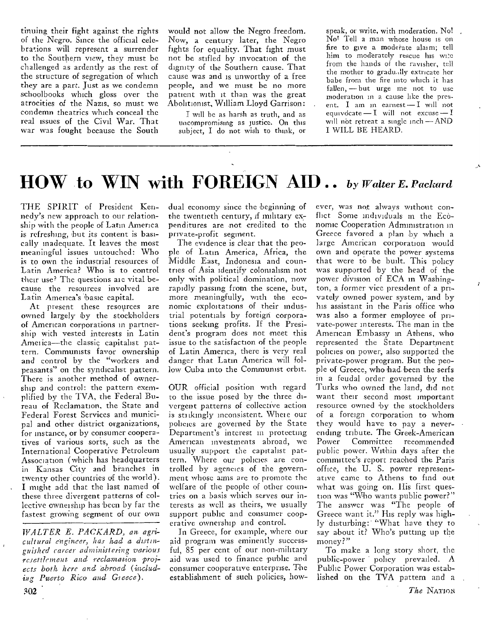tinuing their fight against the rights of the Negro. Since the official celebrations will represent a surrender to the Southern view, they must be challenged as ardently as the rest of the structure of segregation of which they are a part. Just as we condemn schoolbooks which gloss over the atrocities of the Nazis, so must we condemn theatrics which conceal the real issues of the Civil War. That war was fought because the South

would not allow the Negro freedom. Now, a century later, the Negro fights for equality. That fight must not be stifled by invocation of the dignity of the Southern cause. That cause was and is unworthy of a free people, and we must be no more patient with it than was the great Abolitionist, William Lloyd Garrison:

I will be as harsh as truth, and as uncompromising as justice. On this subject, I do not wish to think, or

speak, or write, with moderation. No! No! Tell a man whose house is on fire to give a moderate alaim; tell him to moderately rescue his wife from the hands of the ravisher, tell the mother to gradually extricate her babe from the fire into which it has fallen, --- but urge me not to use moderation in a cause like the present. I am in earnest - I will not equivocate  $-1$  will not excuse  $-1$ will not retreat a single inch - AND I WILL BE HEARD.

## HOW to WIN with FOREIGN AID.. by Walter E. Packard

THE SPIRIT of President Kennedy's new approach to our relationship with the people of Latin America is refreshing, but its content is basically madequate. It leaves the most meaningful issues untouched: Who is to own the industrial resources of Latin America? Who is to control their use? The questions are vital because the resources involved are Latin America's basic capital.

At present these resources are owned largely by the stockholders of American corporations in partnership with vested interests in Latin America-the classic capitalist pattern. Communists favor ownership and control by the "workers and peasants" on the syndicalist pattern. There is another method of ownership and control: the pattern exemplified by the TVA, the Federal Bureau of Reclamation, the State and Federal Forest Services and municipal and other district organizations, for instance, or by consumer cooperatives of various sorts, such as the International Cooperative Petroleum Association (which has headquarters in Kansas City and branches in twenty other countries of the world). I might add that the last named of these three divergent patterns of collective ownership has been by far the fastest growing segment of our own

WALTER E. PACKARD, an agricultural engineer, has had a distinguished carcer administering various resettlement and reclamation projects both here and abroad (including Puerto Rico and Greece).

dual economy since the beginning of the twentieth century, if military expenditures are not credited to the private-profit segment.

The evidence is clear that the people of Latin America, Africa, the Middle East, Indonesia and countries of Asia identify colonialism not only with political domination, now rapidly passing from the scene, but, more meaningfully, with the economic exploitations of their industrial potentials by foreign corporations seeking profits. If the President's program does not meet this issue to the satisfaction of the people of Latin America, there is very real danger that Latin America will follow Cuba into the Communist orbit.

OUR official position with regard to the issue posed by the three divergent patterns of collective action is stitkingly inconsistent. Where our policies are governed by the State Department's interest in protecting American investments abroad, we usually support the capitalist pattern. Where our policies are controlled by agencies of the government whose aims are to promote the welfare of the people of other countries on a basis which serves our interests as well as theirs, we usually support public and consumer cooperative ownership and control.

In Greece, for example, where our aid program was eminently successful, 85 per cent of our non-military aid was used to finance public and consumer cooperative enterprise. The establishment of such policies, how-

ever, was not always without conflict Some individuals in the Economic Cooperation Administration in Greece favored a plan by which a large American corporation would own and operate the power systems that were to be built. This policy was supported by the head of the power division of ECA in Washington, a former vice president of a privately owned power system, and by his assistant in the Paris office who was also a former employee of private-power interests. The man in the American Embassy in Athens, who represented the State Department policies on power, also supported the private-power program. But the people of Greece, who had been the serfs in a feudal order governed by the Turks who owned the land, did not want their second most important resource owned by the stockholders of a foreign corporation to whom they would have to pay a neverending tribute. The Greek-American Power Committee recommended public power. Within days after the committee's report reached the Paris office, the U. S. power representative came to Athens to find out what was going on. His first question was "Who wants public power?" The answer was "The people of Greece want it." His reply was highly disturbing: "What have they to say about it? Who's putting up the money?"

To make a long story short, the public-power policy prevailed. A Public Power Corporation was established on the TVA pattern and a

¥